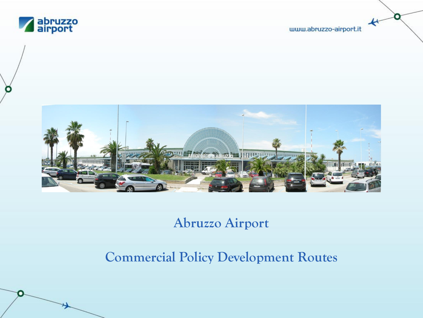

www.abruzzo-airport.it

О

 $\star$ 



## **Abruzzo Airport**

# **Commercial Policy Development Routes**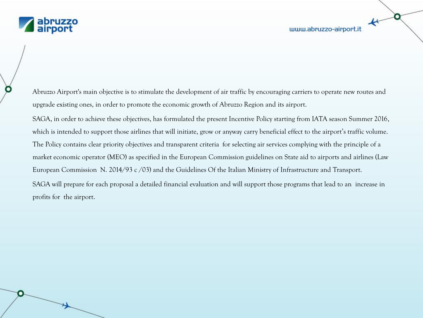

Abruzzo Airport's main objective is to stimulate the development of air traffic by encouraging carriers to operate new routes and upgrade existing ones, in order to promote the economic growth of Abruzzo Region and its airport.

SAGA, in order to achieve these objectives, has formulated the present Incentive Policy starting from IATA season Summer 2016, which is intended to support those airlines that will initiate, grow or anyway carry beneficial effect to the airport's traffic volume. The Policy contains clear priority objectives and transparent criteria for selecting air services complying with the principle of a market economic operator (MEO) as specified in the European Commission guidelines on State aid to airports and airlines (Law European Commission N. 2014/93 c /03) and the Guidelines Of the Italian Ministry of Infrastructure and Transport.

SAGA will prepare for each proposal a detailed financial evaluation and will support those programs that lead to an increase in profits for the airport.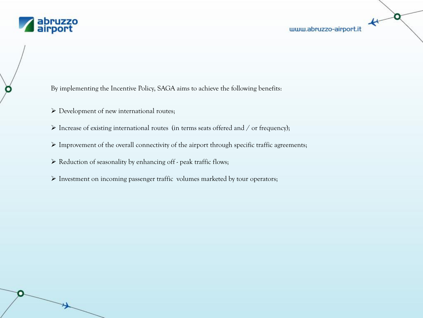

О

By implementing the Incentive Policy, SAGA aims to achieve the following benefits:

- Development of new international routes;
- $\triangleright$  Increase of existing international routes (in terms seats offered and / or frequency);
- $\triangleright$  Improvement of the overall connectivity of the airport through specific traffic agreements;
- $\triangleright$  Reduction of seasonality by enhancing off peak traffic flows;
- $\triangleright$  Investment on incoming passenger traffic volumes marketed by tour operators;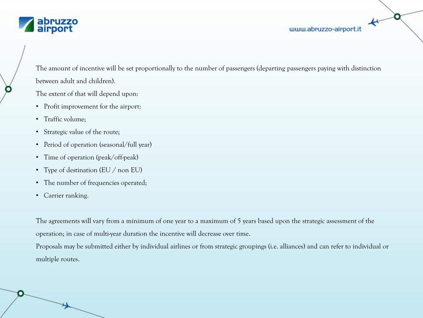

٠

The amount of incentive will be set proportionally to the number of passengers (departing passengers paying with distinction between adult and children).

The extent of that will depend upon:

- Profit improvement for the airport:
- Traffic volume;
- Strategic value of the route;
- Period of operation (seasonal/full year)
- Time of operation (peak/off-peak)
- Type of destination (EU / non EU)
- The number of frequencies operated;
- Carrier ranking.

The agreements will vary from a minimum of one year to a maximum of 5 years based upon the strategic assessment of the operation; in case of multi-year duration the incentive will decrease over time.

Proposals may be submitted either by individual airlines or from strategic groupings (i.e. alliances) and can refer to individual or multiple routes.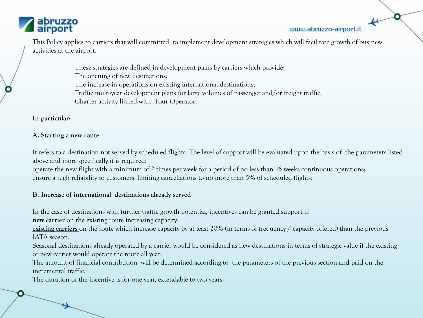

#### www.abruzzo-airport.it

This Policy applies to carriers that will committed to implement development strategies which will facilitate growth of business activities at the airport.

> These strategies are defined in development plans by carriers which provide: The opening of new destinations; The increase in operations on existing international destinations; Traffic multi-year development plans for large volumes of passenger and/or freight traffic; Charter activity linked with Tour Operator;

**In particular:**

## **A. Starting a new route**

It refers to a destination not served by scheduled flights. The level of support will be evaluated upon the basis of the parameters listed above and more specifically it is required:

operate the new flight with a minimum of 2 times per week for a period of no less than 16 weeks continuous operations; ensure a high reliability to customers, limiting cancellations to no more than 5% of scheduled flights;

## **B. Increase of international destinations already served**

In the case of destinations with further traffic growth potential, incentives can be granted support if:

**new carrier** on the existing route increasing capacity;

**existing carriers** on the route which increase capacity by at least 20% (in terms of frequency / capacity offered) than the previous IATA season.

Seasonal destinations already operated by a carrier would be considered as new destinations in terms of strategic value if the existing or new carrier would operate the route all year.

The amount of financial contribution will be determined according to the parameters of the previous section and paid on the incremental traffic.

The duration of the incentive is for one year, extendable to two years.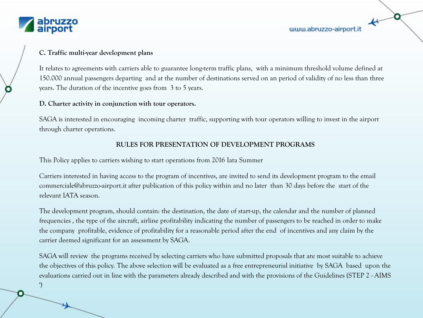

')

#### **C. Traffic multi-year development plans**

It relates to agreements with carriers able to guarantee long-term traffic plans, with a minimum threshold volume defined at 150.000 annual passengers departing and at the number of destinations served on an period of validity of no less than three years. The duration of the incentive goes from 3 to 5 years.

#### **D. Charter activity in conjunction with tour operators.**

SAGA is interested in encouraging incoming charter traffic, supporting with tour operators willing to invest in the airport through charter operations.

## **RULES FOR PRESENTATION OF DEVELOPMENT PROGRAMS**

This Policy applies to carriers wishing to start operations from 2016 Iata Summer

Carriers interested in having access to the program of incentives, are invited to send its development program to the email commerciale@abruzzo-airport.it after publication of this policy within and no later than 30 days before the start of the relevant IATA season.

The development program, should contain: the destination, the date of start-up, the calendar and the number of planned frequencies , the type of the aircraft, airline profitability indicating the number of passengers to be reached in order to make the company profitable, evidence of profitability for a reasonable period after the end of incentives and any claim by the carrier deemed significant for an assessment by SAGA.

SAGA will review the programs received by selecting carriers who have submitted proposals that are most suitable to achieve the objectives of this policy. The above selection will be evaluated as a free entrepreneurial initiative by SAGA based upon the evaluations carried out in line with the parameters already described and with the provisions of the Guidelines (STEP 2 - AIMS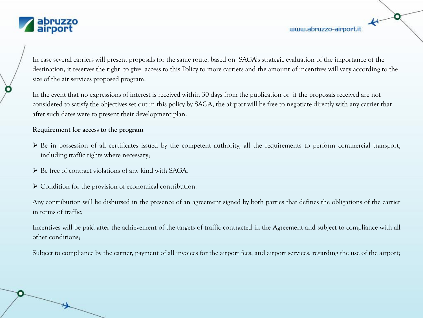

www.abruzzo-airport.it

In case several carriers will present proposals for the same route, based on SAGA's strategic evaluation of the importance of the destination, it reserves the right to give access to this Policy to more carriers and the amount of incentives will vary according to the size of the air services proposed program.

In the event that no expressions of interest is received within 30 days from the publication or if the proposals received are not considered to satisfy the objectives set out in this policy by SAGA, the airport will be free to negotiate directly with any carrier that after such dates were to present their development plan.

## **Requirement for access to the program**

- $\triangleright$  Be in possession of all certificates issued by the competent authority, all the requirements to perform commercial transport, including traffic rights where necessary;
- $\triangleright$  Be free of contract violations of any kind with SAGA.

 $\triangleright$  Condition for the provision of economical contribution.

Any contribution will be disbursed in the presence of an agreement signed by both parties that defines the obligations of the carrier in terms of traffic;

Incentives will be paid after the achievement of the targets of traffic contracted in the Agreement and subject to compliance with all other conditions;

Subject to compliance by the carrier, payment of all invoices for the airport fees, and airport services, regarding the use of the airport;